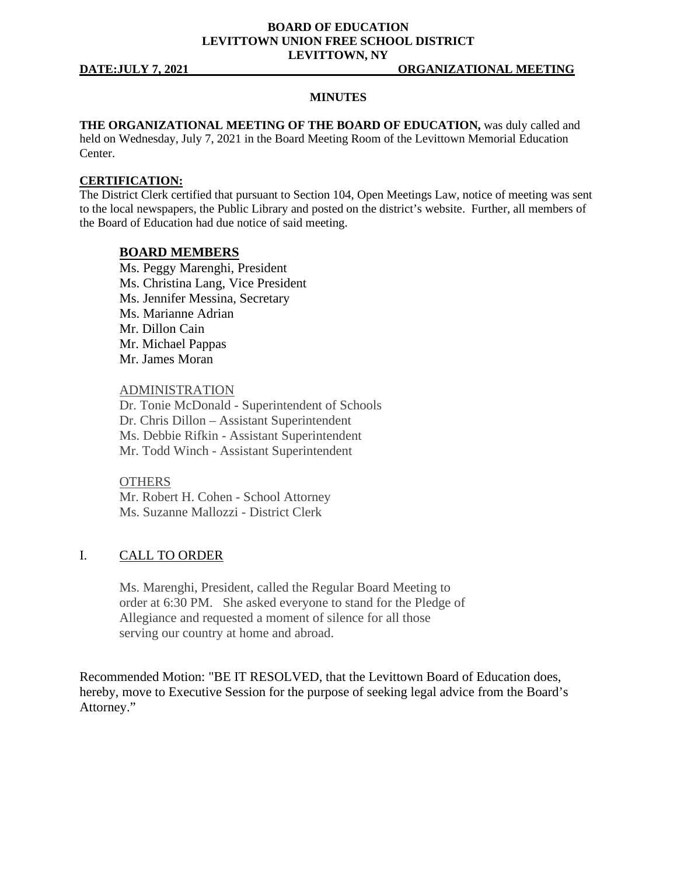### **BOARD OF EDUCATION LEVITTOWN UNION FREE SCHOOL DISTRICT LEVITTOWN, NY**

### **MINUTES**

**THE ORGANIZATIONAL MEETING OF THE BOARD OF EDUCATION,** was duly called and held on Wednesday, July 7, 2021 in the Board Meeting Room of the Levittown Memorial Education Center.

### **CERTIFICATION:**

The District Clerk certified that pursuant to Section 104, Open Meetings Law, notice of meeting was sent to the local newspapers, the Public Library and posted on the district's website. Further, all members of the Board of Education had due notice of said meeting.

### **BOARD MEMBERS**

Ms. Peggy Marenghi, President Ms. Christina Lang, Vice President Ms. Jennifer Messina, Secretary Ms. Marianne Adrian Mr. Dillon Cain Mr. Michael Pappas Mr. James Moran

### ADMINISTRATION

Dr. Tonie McDonald - Superintendent of Schools Dr. Chris Dillon – Assistant Superintendent Ms. Debbie Rifkin - Assistant Superintendent Mr. Todd Winch - Assistant Superintendent

### **OTHERS**

Mr. Robert H. Cohen - School Attorney Ms. Suzanne Mallozzi - District Clerk

### I. CALL TO ORDER

Ms. Marenghi, President, called the Regular Board Meeting to order at 6:30 PM. She asked everyone to stand for the Pledge of Allegiance and requested a moment of silence for all those serving our country at home and abroad.

Recommended Motion: "BE IT RESOLVED, that the Levittown Board of Education does, hereby, move to Executive Session for the purpose of seeking legal advice from the Board's Attorney."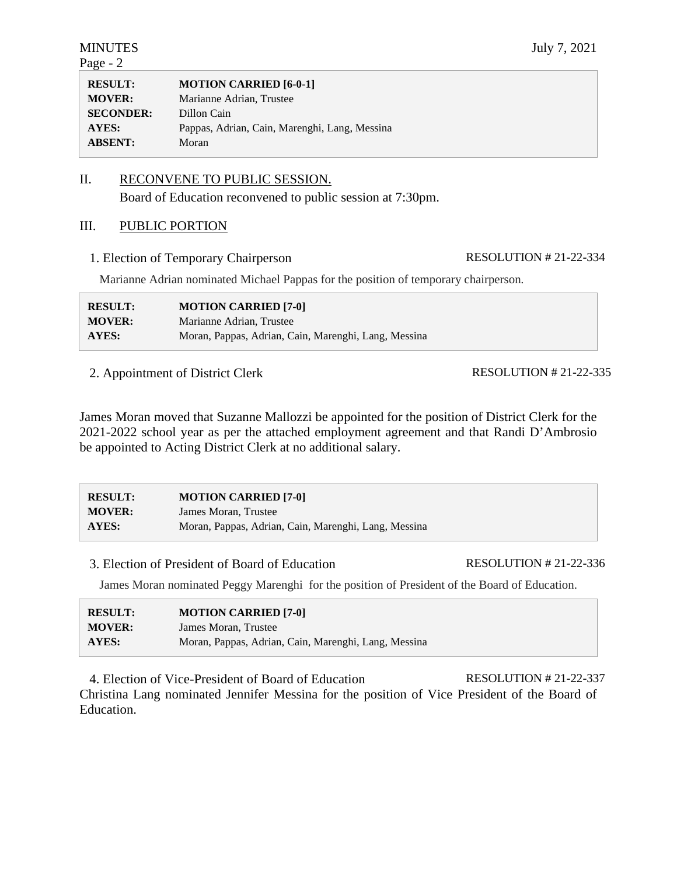### II. RECONVENE TO PUBLIC SESSION.

Board of Education reconvened to public session at 7:30pm.

### III. PUBLIC PORTION

1. Election of Temporary Chairperson RESOLUTION # 21-22-334

Marianne Adrian nominated Michael Pappas for the position of temporary chairperson.

| <b>RESULT:</b> | <b>MOTION CARRIED [7-0]</b>                          |
|----------------|------------------------------------------------------|
| <b>MOVER:</b>  | Marianne Adrian, Trustee                             |
| AYES:          | Moran, Pappas, Adrian, Cain, Marenghi, Lang, Messina |

2. Appointment of District Clerk

RESOLUTION # 21-22-335

James Moran moved that Suzanne Mallozzi be appointed for the position of District Clerk for the 2021-2022 school year as per the attached employment agreement and that Randi D'Ambrosio be appointed to Acting District Clerk at no additional salary.

| <b>RESULT:</b> | <b>MOTION CARRIED [7-0]</b>                          |
|----------------|------------------------------------------------------|
| <b>MOVER:</b>  | James Moran, Trustee                                 |
| AYES:          | Moran, Pappas, Adrian, Cain, Marenghi, Lang, Messina |

3. Election of President of Board of Education RESOLUTION # 21-22-336

James Moran nominated Peggy Marenghi for the position of President of the Board of Education.

| <b>RESULT:</b> | <b>MOTION CARRIED [7-0]</b>                          |
|----------------|------------------------------------------------------|
| <b>MOVER:</b>  | James Moran, Trustee                                 |
| <b>AYES:</b>   | Moran, Pappas, Adrian, Cain, Marenghi, Lang, Messina |

4. Election of Vice-President of Board of Education RESOLUTION # 21-22-337 Christina Lang nominated Jennifer Messina for the position of Vice President of the Board of Education.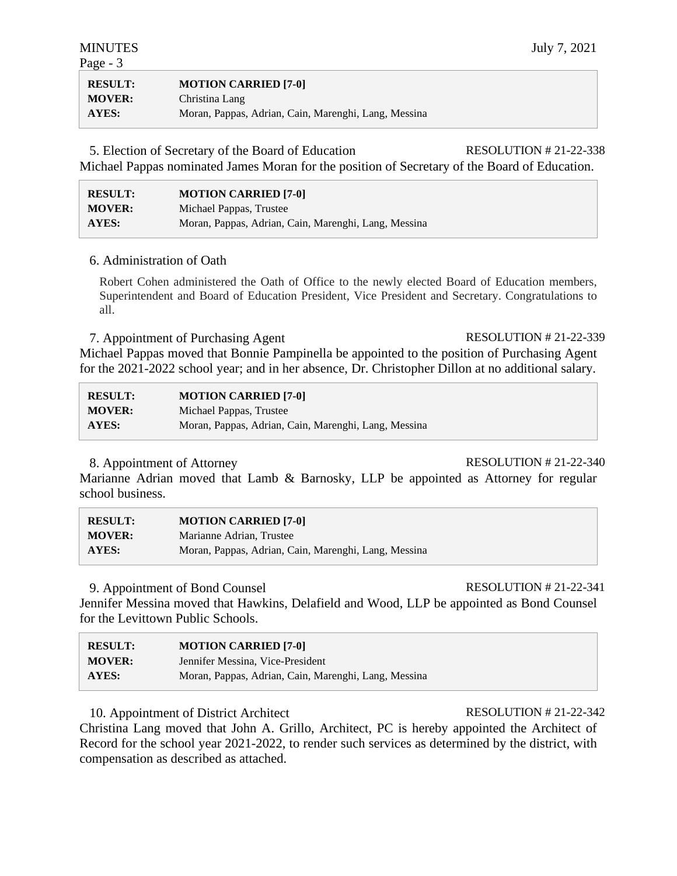| <b>RESULT:</b> | <b>MOTION CARRIED [7-0]</b>                          |
|----------------|------------------------------------------------------|
| <b>MOVER:</b>  | Christina Lang                                       |
| AYES:          | Moran, Pappas, Adrian, Cain, Marenghi, Lang, Messina |

5. Election of Secretary of the Board of Education RESOLUTION # 21-22-338 Michael Pappas nominated James Moran for the position of Secretary of the Board of Education.

| <b>RESULT:</b> | <b>MOTION CARRIED [7-0]</b>                          |
|----------------|------------------------------------------------------|
| <b>MOVER:</b>  | Michael Pappas, Trustee                              |
| <b>AYES:</b>   | Moran, Pappas, Adrian, Cain, Marenghi, Lang, Messina |

### 6. Administration of Oath

Robert Cohen administered the Oath of Office to the newly elected Board of Education members, Superintendent and Board of Education President, Vice President and Secretary. Congratulations to all.

7. Appointment of Purchasing Agent RESOLUTION # 21-22-339 Michael Pappas moved that Bonnie Pampinella be appointed to the position of Purchasing Agent for the 2021-2022 school year; and in her absence, Dr. Christopher Dillon at no additional salary.

| <b>RESULT:</b> | <b>MOTION CARRIED [7-0]</b>                          |
|----------------|------------------------------------------------------|
| <b>MOVER:</b>  | Michael Pappas, Trustee                              |
| <b>AYES:</b>   | Moran, Pappas, Adrian, Cain, Marenghi, Lang, Messina |

### 8. Appointment of Attorney RESOLUTION # 21-22-340

Marianne Adrian moved that Lamb & Barnosky, LLP be appointed as Attorney for regular school business.

| <b>RESULT:</b> | <b>MOTION CARRIED [7-0]</b>                          |
|----------------|------------------------------------------------------|
| <b>MOVER:</b>  | Marianne Adrian, Trustee                             |
| <b>AYES:</b>   | Moran, Pappas, Adrian, Cain, Marenghi, Lang, Messina |

### 9. Appointment of Bond Counsel RESOLUTION # 21-22-341

Jennifer Messina moved that Hawkins, Delafield and Wood, LLP be appointed as Bond Counsel for the Levittown Public Schools.

| <b>RESULT:</b> | <b>MOTION CARRIED [7-0]</b>                          |
|----------------|------------------------------------------------------|
| <b>MOVER:</b>  | Jennifer Messina, Vice-President                     |
| <b>AYES:</b>   | Moran, Pappas, Adrian, Cain, Marenghi, Lang, Messina |

10. Appointment of District Architect RESOLUTION # 21-22-342

Christina Lang moved that John A. Grillo, Architect, PC is hereby appointed the Architect of Record for the school year 2021-2022, to render such services as determined by the district, with compensation as described as attached.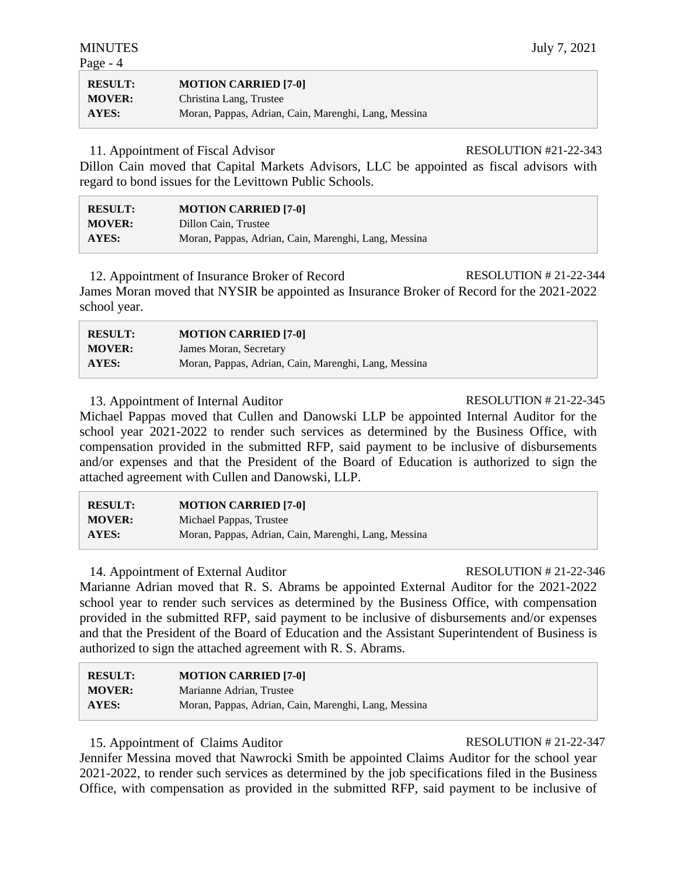| <b>RESULT:</b> | <b>MOTION CARRIED [7-0]</b>                          |
|----------------|------------------------------------------------------|
| <b>MOVER:</b>  | Christina Lang, Trustee                              |
| AYES:          | Moran, Pappas, Adrian, Cain, Marenghi, Lang, Messina |

11. Appointment of Fiscal Advisor RESOLUTION #21-22-343

Dillon Cain moved that Capital Markets Advisors, LLC be appointed as fiscal advisors with regard to bond issues for the Levittown Public Schools.

| <b>RESULT:</b> | <b>MOTION CARRIED [7-0]</b>                          |
|----------------|------------------------------------------------------|
| <b>MOVER:</b>  | Dillon Cain, Trustee                                 |
| <b>AYES:</b>   | Moran, Pappas, Adrian, Cain, Marenghi, Lang, Messina |

12. Appointment of Insurance Broker of Record RESOLUTION # 21-22-344 James Moran moved that NYSIR be appointed as Insurance Broker of Record for the 2021-2022 school year.

| <b>RESULT:</b> | <b>MOTION CARRIED [7-0]</b>                          |
|----------------|------------------------------------------------------|
| <b>MOVER:</b>  | James Moran, Secretary                               |
| <b>AYES:</b>   | Moran, Pappas, Adrian, Cain, Marenghi, Lang, Messina |

# 13. Appointment of Internal Auditor RESOLUTION # 21-22-345

Michael Pappas moved that Cullen and Danowski LLP be appointed Internal Auditor for the school year 2021-2022 to render such services as determined by the Business Office, with compensation provided in the submitted RFP, said payment to be inclusive of disbursements and/or expenses and that the President of the Board of Education is authorized to sign the attached agreement with Cullen and Danowski, LLP.

| <b>RESULT:</b> | <b>MOTION CARRIED [7-0]</b>                          |
|----------------|------------------------------------------------------|
| <b>MOVER:</b>  | Michael Pappas, Trustee                              |
| <b>AYES:</b>   | Moran, Pappas, Adrian, Cain, Marenghi, Lang, Messina |

# 14. Appointment of External Auditor RESOLUTION # 21-22-346

Marianne Adrian moved that R. S. Abrams be appointed External Auditor for the 2021-2022 school year to render such services as determined by the Business Office, with compensation provided in the submitted RFP, said payment to be inclusive of disbursements and/or expenses and that the President of the Board of Education and the Assistant Superintendent of Business is authorized to sign the attached agreement with R. S. Abrams.

| <b>RESULT:</b> | <b>MOTION CARRIED [7-0]</b>                          |
|----------------|------------------------------------------------------|
| <b>MOVER:</b>  | Marianne Adrian, Trustee                             |
| <b>AYES:</b>   | Moran, Pappas, Adrian, Cain, Marenghi, Lang, Messina |

# 15. Appointment of Claims Auditor RESOLUTION # 21-22-347

Jennifer Messina moved that Nawrocki Smith be appointed Claims Auditor for the school year 2021-2022, to render such services as determined by the job specifications filed in the Business Office, with compensation as provided in the submitted RFP, said payment to be inclusive of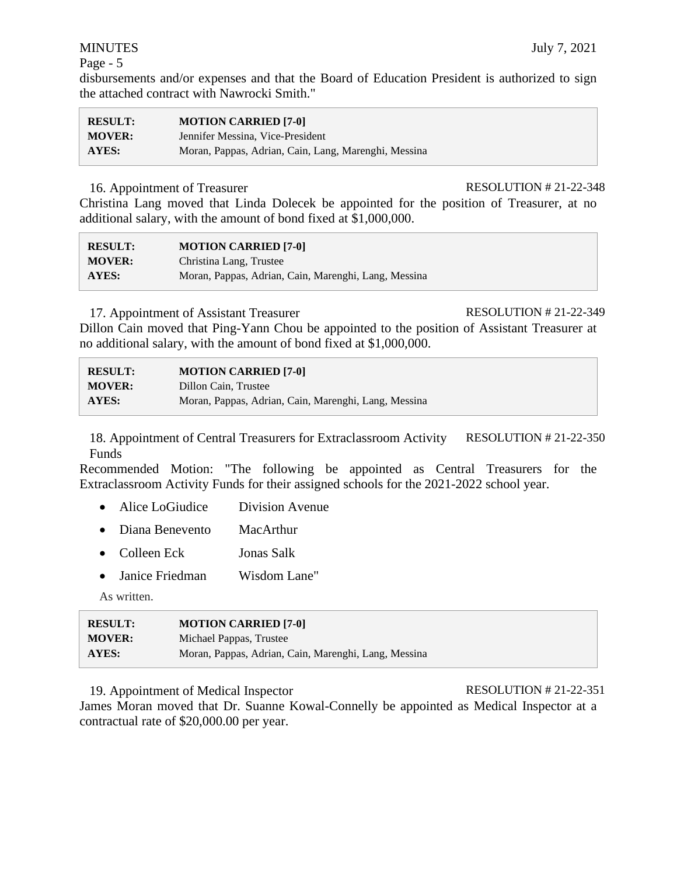disbursements and/or expenses and that the Board of Education President is authorized to sign the attached contract with Nawrocki Smith."

| <b>RESULT:</b> | <b>MOTION CARRIED [7-0]</b>                          |
|----------------|------------------------------------------------------|
| <b>MOVER:</b>  | Jennifer Messina, Vice-President                     |
| AYES:          | Moran, Pappas, Adrian, Cain, Lang, Marenghi, Messina |

### 16. Appointment of Treasurer RESOLUTION # 21-22-348

Christina Lang moved that Linda Dolecek be appointed for the position of Treasurer, at no additional salary, with the amount of bond fixed at \$1,000,000.

| <b>RESULT:</b> | <b>MOTION CARRIED [7-0]</b>                          |
|----------------|------------------------------------------------------|
| <b>MOVER:</b>  | Christina Lang, Trustee                              |
| AYES:          | Moran, Pappas, Adrian, Cain, Marenghi, Lang, Messina |

# 17. Appointment of Assistant Treasurer RESOLUTION # 21-22-349

Dillon Cain moved that Ping-Yann Chou be appointed to the position of Assistant Treasurer at no additional salary, with the amount of bond fixed at \$1,000,000.

| <b>RESULT:</b> | <b>MOTION CARRIED [7-0]</b>                          |
|----------------|------------------------------------------------------|
| <b>MOVER:</b>  | Dillon Cain, Trustee                                 |
| AYES:          | Moran, Pappas, Adrian, Cain, Marenghi, Lang, Messina |

18. Appointment of Central Treasurers for Extraclassroom Activity Funds RESOLUTION # 21-22-350

Recommended Motion: "The following be appointed as Central Treasurers for the Extraclassroom Activity Funds for their assigned schools for the 2021-2022 school year.

- Alice LoGiudice Division Avenue
- Diana Benevento MacArthur
- Colleen Eck Jonas Salk
- Janice Friedman Wisdom Lane"

As written.

| <b>RESULT:</b> | <b>MOTION CARRIED [7-0]</b>                          |
|----------------|------------------------------------------------------|
| <b>MOVER:</b>  | Michael Pappas, Trustee                              |
| AYES:          | Moran, Pappas, Adrian, Cain, Marenghi, Lang, Messina |

19. Appointment of Medical Inspector RESOLUTION # 21-22-351

James Moran moved that Dr. Suanne Kowal-Connelly be appointed as Medical Inspector at a contractual rate of \$20,000.00 per year.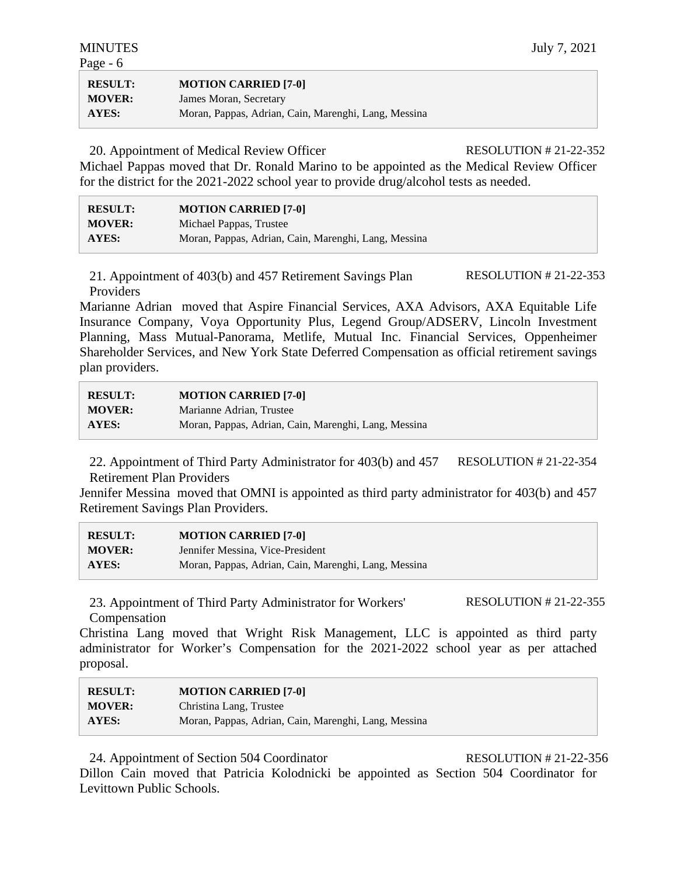| <b>RESULT:</b> | <b>MOTION CARRIED [7-0]</b>                          |
|----------------|------------------------------------------------------|
| <b>MOVER:</b>  | James Moran, Secretary                               |
| <b>AYES:</b>   | Moran, Pappas, Adrian, Cain, Marenghi, Lang, Messina |

20. Appointment of Medical Review Officer RESOLUTION # 21-22-352

Michael Pappas moved that Dr. Ronald Marino to be appointed as the Medical Review Officer for the district for the 2021-2022 school year to provide drug/alcohol tests as needed.

| <b>RESULT:</b> | <b>MOTION CARRIED [7-0]</b>                          |
|----------------|------------------------------------------------------|
| <b>MOVER:</b>  | Michael Pappas, Trustee                              |
| <b>AYES:</b>   | Moran, Pappas, Adrian, Cain, Marenghi, Lang, Messina |

21. Appointment of 403(b) and 457 Retirement Savings Plan Providers RESOLUTION # 21-22-353

Marianne Adrian moved that Aspire Financial Services, AXA Advisors, AXA Equitable Life Insurance Company, Voya Opportunity Plus, Legend Group/ADSERV, Lincoln Investment Planning, Mass Mutual-Panorama, Metlife, Mutual Inc. Financial Services, Oppenheimer Shareholder Services, and New York State Deferred Compensation as official retirement savings plan providers.

| <b>RESULT:</b> | <b>MOTION CARRIED [7-0]</b>                          |
|----------------|------------------------------------------------------|
| <b>MOVER:</b>  | Marianne Adrian, Trustee                             |
| AYES:          | Moran, Pappas, Adrian, Cain, Marenghi, Lang, Messina |

22. Appointment of Third Party Administrator for 403(b) and 457 Retirement Plan Providers RESOLUTION # 21-22-354

Jennifer Messina moved that OMNI is appointed as third party administrator for 403(b) and 457 Retirement Savings Plan Providers.

| <b>RESULT:</b> | <b>MOTION CARRIED [7-0]</b>                          |
|----------------|------------------------------------------------------|
| <b>MOVER:</b>  | Jennifer Messina, Vice-President                     |
| <b>AYES:</b>   | Moran, Pappas, Adrian, Cain, Marenghi, Lang, Messina |

23. Appointment of Third Party Administrator for Workers' Compensation

RESOLUTION # 21-22-355

Christina Lang moved that Wright Risk Management, LLC is appointed as third party administrator for Worker's Compensation for the 2021-2022 school year as per attached proposal.

| <b>RESULT:</b> | <b>MOTION CARRIED [7-0]</b>                          |
|----------------|------------------------------------------------------|
| <b>MOVER:</b>  | Christina Lang, Trustee                              |
| <b>AYES:</b>   | Moran, Pappas, Adrian, Cain, Marenghi, Lang, Messina |

24. Appointment of Section 504 Coordinator RESOLUTION # 21-22-356

Dillon Cain moved that Patricia Kolodnicki be appointed as Section 504 Coordinator for Levittown Public Schools.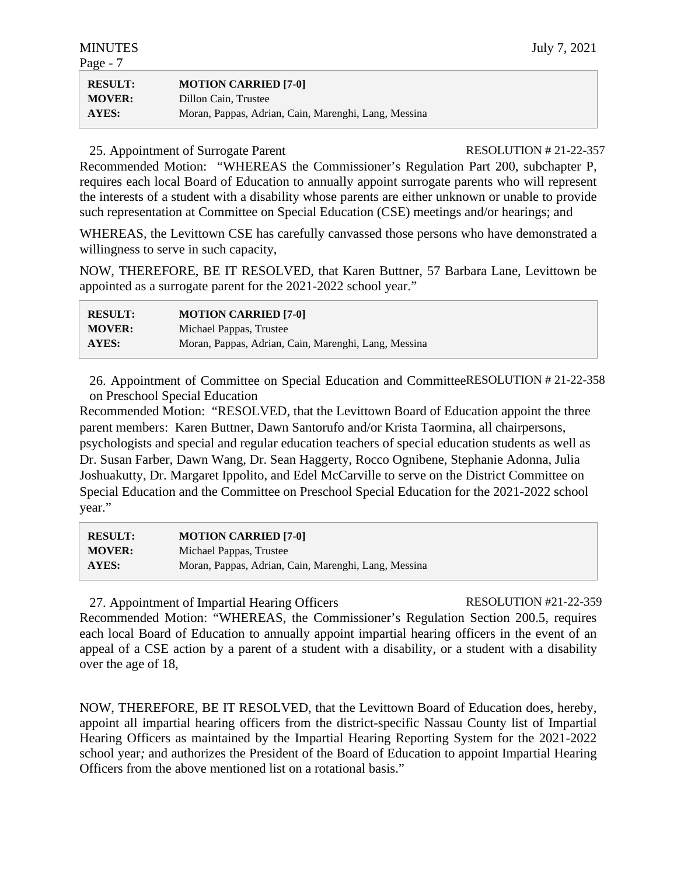| <b>RESULT:</b> | <b>MOTION CARRIED [7-0]</b>                          |
|----------------|------------------------------------------------------|
| <b>MOVER:</b>  | Dillon Cain, Trustee                                 |
| AYES:          | Moran, Pappas, Adrian, Cain, Marenghi, Lang, Messina |

### 25. Appointment of Surrogate Parent RESOLUTION # 21-22-357

Recommended Motion: "WHEREAS the Commissioner's Regulation Part 200, subchapter P, requires each local Board of Education to annually appoint surrogate parents who will represent the interests of a student with a disability whose parents are either unknown or unable to provide such representation at Committee on Special Education (CSE) meetings and/or hearings; and

WHEREAS, the Levittown CSE has carefully canvassed those persons who have demonstrated a willingness to serve in such capacity,

NOW, THEREFORE, BE IT RESOLVED, that Karen Buttner, 57 Barbara Lane, Levittown be appointed as a surrogate parent for the 2021-2022 school year."

| <b>RESULT:</b> | <b>MOTION CARRIED [7-0]</b>                          |
|----------------|------------------------------------------------------|
| <b>MOVER:</b>  | Michael Pappas, Trustee                              |
| <b>AYES:</b>   | Moran, Pappas, Adrian, Cain, Marenghi, Lang, Messina |

26. Appointment of Committee on Special Education and CommitteeRESOLUTION # 21-22-358 on Preschool Special Education

Recommended Motion: "RESOLVED, that the Levittown Board of Education appoint the three parent members: Karen Buttner, Dawn Santorufo and/or Krista Taormina, all chairpersons, psychologists and special and regular education teachers of special education students as well as Dr. Susan Farber, Dawn Wang, Dr. Sean Haggerty, Rocco Ognibene, Stephanie Adonna, Julia Joshuakutty, Dr. Margaret Ippolito, and Edel McCarville to serve on the District Committee on Special Education and the Committee on Preschool Special Education for the 2021-2022 school year."

| <b>RESULT:</b> | <b>MOTION CARRIED [7-0]</b>                          |
|----------------|------------------------------------------------------|
| <b>MOVER:</b>  | Michael Pappas, Trustee                              |
| AYES:          | Moran, Pappas, Adrian, Cain, Marenghi, Lang, Messina |

27. Appointment of Impartial Hearing Officers RESOLUTION #21-22-359

Recommended Motion: "WHEREAS, the Commissioner's Regulation Section 200.5, requires each local Board of Education to annually appoint impartial hearing officers in the event of an appeal of a CSE action by a parent of a student with a disability, or a student with a disability over the age of 18,

NOW, THEREFORE, BE IT RESOLVED, that the Levittown Board of Education does, hereby, appoint all impartial hearing officers from the district-specific Nassau County list of Impartial Hearing Officers as maintained by the Impartial Hearing Reporting System for the 2021-2022 school year*;* and authorizes the President of the Board of Education to appoint Impartial Hearing Officers from the above mentioned list on a rotational basis."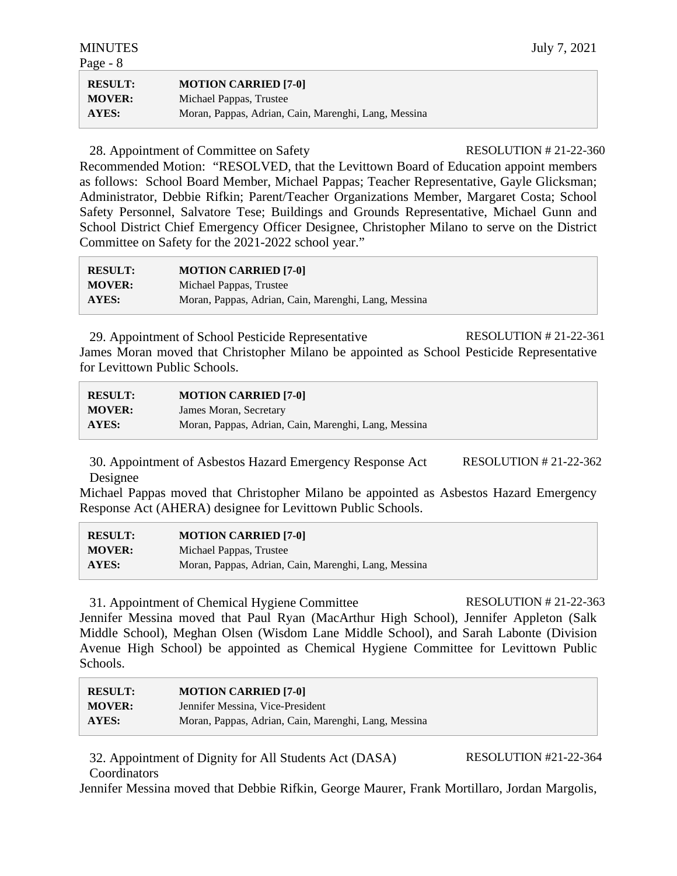| <b>MINUTES</b> |
|----------------|
|----------------|

| <b>RESULT:</b> | <b>MOTION CARRIED [7-0]</b>                          |
|----------------|------------------------------------------------------|
| <b>MOVER:</b>  | Michael Pappas, Trustee                              |
| AYES:          | Moran, Pappas, Adrian, Cain, Marenghi, Lang, Messina |

### 28. Appointment of Committee on Safety RESOLUTION # 21-22-360

Recommended Motion: "RESOLVED, that the Levittown Board of Education appoint members as follows: School Board Member, Michael Pappas; Teacher Representative, Gayle Glicksman; Administrator, Debbie Rifkin; Parent/Teacher Organizations Member, Margaret Costa; School Safety Personnel, Salvatore Tese; Buildings and Grounds Representative, Michael Gunn and School District Chief Emergency Officer Designee, Christopher Milano to serve on the District Committee on Safety for the 2021-2022 school year."

**RESULT: MOTION CARRIED [7-0] MOVER:** Michael Pappas, Trustee **AYES:** Moran, Pappas, Adrian, Cain, Marenghi, Lang, Messina

29. Appointment of School Pesticide Representative RESOLUTION # 21-22-361 James Moran moved that Christopher Milano be appointed as School Pesticide Representative for Levittown Public Schools.

| <b>RESULT:</b> | <b>MOTION CARRIED [7-0]</b>                          |
|----------------|------------------------------------------------------|
| <b>MOVER:</b>  | James Moran, Secretary                               |
| AYES:          | Moran, Pappas, Adrian, Cain, Marenghi, Lang, Messina |

30. Appointment of Asbestos Hazard Emergency Response Act Designee RESOLUTION # 21-22-362

Michael Pappas moved that Christopher Milano be appointed as Asbestos Hazard Emergency Response Act (AHERA) designee for Levittown Public Schools.

| <b>RESULT:</b> | <b>MOTION CARRIED [7-0]</b>                          |
|----------------|------------------------------------------------------|
| <b>MOVER:</b>  | Michael Pappas, Trustee                              |
| <b>AYES:</b>   | Moran, Pappas, Adrian, Cain, Marenghi, Lang, Messina |

31. Appointment of Chemical Hygiene Committee RESOLUTION # 21-22-363 Jennifer Messina moved that Paul Ryan (MacArthur High School), Jennifer Appleton (Salk Middle School), Meghan Olsen (Wisdom Lane Middle School), and Sarah Labonte (Division Avenue High School) be appointed as Chemical Hygiene Committee for Levittown Public Schools.

| <b>RESULT:</b> | <b>MOTION CARRIED [7-0]</b>                          |
|----------------|------------------------------------------------------|
| <b>MOVER:</b>  | Jennifer Messina, Vice-President                     |
| AYES:          | Moran, Pappas, Adrian, Cain, Marenghi, Lang, Messina |

32. Appointment of Dignity for All Students Act (DASA) **Coordinators** RESOLUTION #21-22-364

Jennifer Messina moved that Debbie Rifkin, George Maurer, Frank Mortillaro, Jordan Margolis,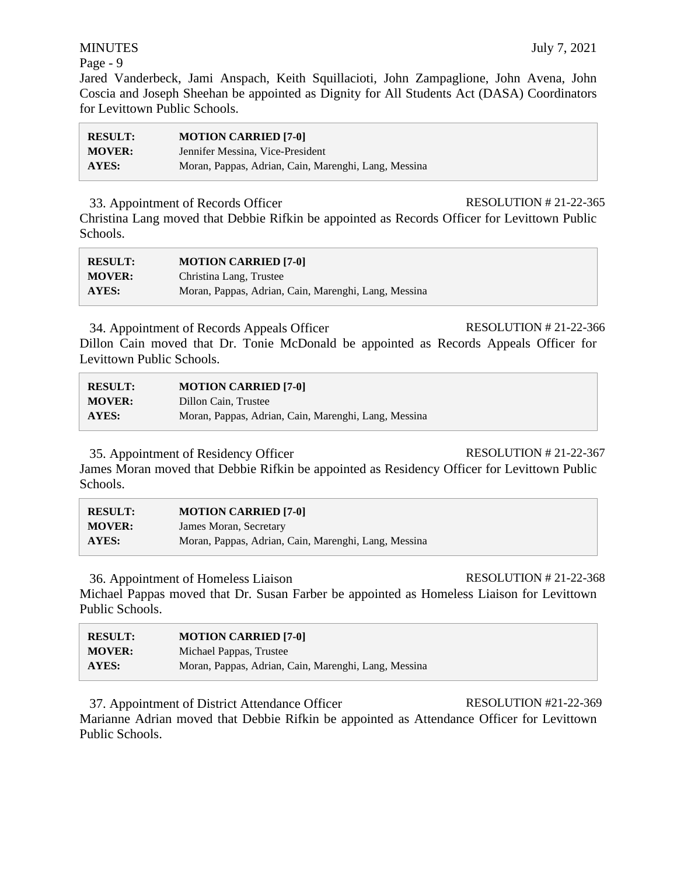Jared Vanderbeck, Jami Anspach, Keith Squillacioti, John Zampaglione, John Avena, John Coscia and Joseph Sheehan be appointed as Dignity for All Students Act (DASA) Coordinators for Levittown Public Schools.

| <b>RESULT:</b> | <b>MOTION CARRIED [7-0]</b>                          |
|----------------|------------------------------------------------------|
| <b>MOVER:</b>  | Jennifer Messina, Vice-President                     |
| AYES:          | Moran, Pappas, Adrian, Cain, Marenghi, Lang, Messina |

### 33. Appointment of Records Officer RESOLUTION # 21-22-365

Christina Lang moved that Debbie Rifkin be appointed as Records Officer for Levittown Public Schools.

| <b>RESULT:</b> | <b>MOTION CARRIED [7-0]</b>                          |
|----------------|------------------------------------------------------|
| <b>MOVER:</b>  | Christina Lang, Trustee                              |
| AYES:          | Moran, Pappas, Adrian, Cain, Marenghi, Lang, Messina |

34. Appointment of Records Appeals Officer RESOLUTION # 21-22-366

Dillon Cain moved that Dr. Tonie McDonald be appointed as Records Appeals Officer for Levittown Public Schools.

| <b>RESULT:</b> | <b>MOTION CARRIED [7-0]</b>                          |
|----------------|------------------------------------------------------|
| <b>MOVER:</b>  | Dillon Cain, Trustee                                 |
| <b>AYES:</b>   | Moran, Pappas, Adrian, Cain, Marenghi, Lang, Messina |

35. Appointment of Residency Officer RESOLUTION # 21-22-367

James Moran moved that Debbie Rifkin be appointed as Residency Officer for Levittown Public Schools.

| <b>RESULT:</b> | <b>MOTION CARRIED [7-0]</b>                          |
|----------------|------------------------------------------------------|
| <b>MOVER:</b>  | James Moran, Secretary                               |
| <b>AYES:</b>   | Moran, Pappas, Adrian, Cain, Marenghi, Lang, Messina |

36. Appointment of Homeless Liaison RESOLUTION # 21-22-368

Michael Pappas moved that Dr. Susan Farber be appointed as Homeless Liaison for Levittown Public Schools.

| <b>RESULT:</b> | <b>MOTION CARRIED [7-0]</b>                          |
|----------------|------------------------------------------------------|
| <b>MOVER:</b>  | Michael Pappas, Trustee                              |
| <b>AYES:</b>   | Moran, Pappas, Adrian, Cain, Marenghi, Lang, Messina |

37. Appointment of District Attendance Officer RESOLUTION #21-22-369 Marianne Adrian moved that Debbie Rifkin be appointed as Attendance Officer for Levittown Public Schools.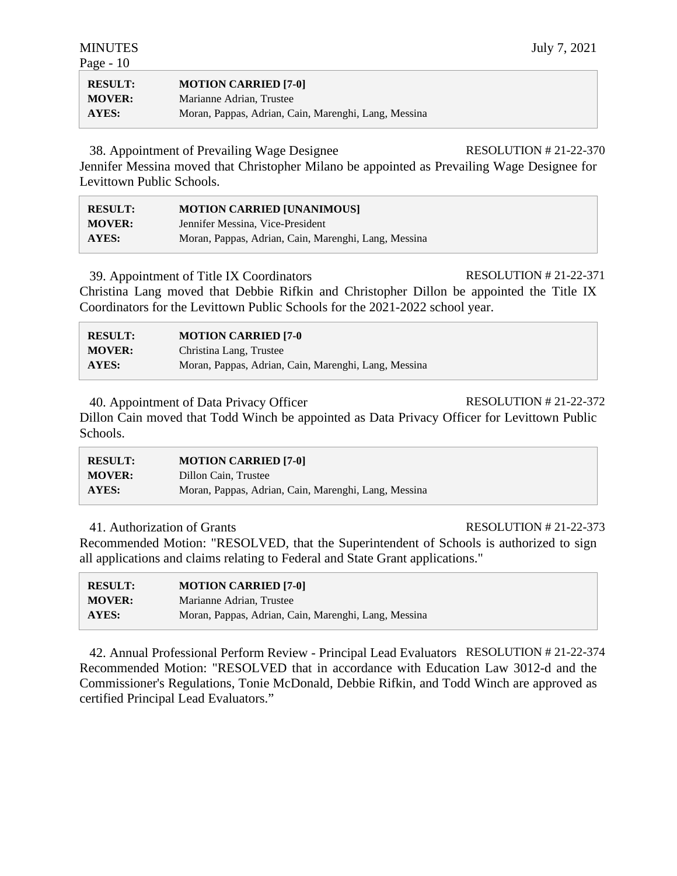| <b>RESULT:</b> | <b>MOTION CARRIED [7-0]</b>                          |
|----------------|------------------------------------------------------|
| <b>MOVER:</b>  | Marianne Adrian, Trustee                             |
| AYES:          | Moran, Pappas, Adrian, Cain, Marenghi, Lang, Messina |

38. Appointment of Prevailing Wage Designee RESOLUTION # 21-22-370

Jennifer Messina moved that Christopher Milano be appointed as Prevailing Wage Designee for Levittown Public Schools.

| <b>RESULT:</b> | <b>MOTION CARRIED [UNANIMOUS]</b>                    |
|----------------|------------------------------------------------------|
| <b>MOVER:</b>  | Jennifer Messina, Vice-President                     |
| AYES:          | Moran, Pappas, Adrian, Cain, Marenghi, Lang, Messina |

39. Appointment of Title IX Coordinators RESOLUTION # 21-22-371

Christina Lang moved that Debbie Rifkin and Christopher Dillon be appointed the Title IX Coordinators for the Levittown Public Schools for the 2021-2022 school year.

| <b>RESULT:</b> | <b>MOTION CARRIED [7-0</b>                           |
|----------------|------------------------------------------------------|
| <b>MOVER:</b>  | Christina Lang, Trustee                              |
| <b>AYES:</b>   | Moran, Pappas, Adrian, Cain, Marenghi, Lang, Messina |

40. Appointment of Data Privacy Officer RESOLUTION # 21-22-372 Dillon Cain moved that Todd Winch be appointed as Data Privacy Officer for Levittown Public Schools.

| <b>RESULT:</b> | <b>MOTION CARRIED [7-0]</b>                          |
|----------------|------------------------------------------------------|
| <b>MOVER:</b>  | Dillon Cain, Trustee                                 |
| AYES:          | Moran, Pappas, Adrian, Cain, Marenghi, Lang, Messina |

### 41. Authorization of Grants RESOLUTION # 21-22-373

Recommended Motion: "RESOLVED, that the Superintendent of Schools is authorized to sign all applications and claims relating to Federal and State Grant applications."

| <b>RESULT:</b> | <b>MOTION CARRIED [7-0]</b>                          |
|----------------|------------------------------------------------------|
| <b>MOVER:</b>  | Marianne Adrian, Trustee                             |
| AYES:          | Moran, Pappas, Adrian, Cain, Marenghi, Lang, Messina |

42. Annual Professional Perform Review - Principal Lead Evaluators RESOLUTION # 21-22-374 Recommended Motion: "RESOLVED that in accordance with Education Law 3012-d and the Commissioner's Regulations, Tonie McDonald, Debbie Rifkin, and Todd Winch are approved as certified Principal Lead Evaluators."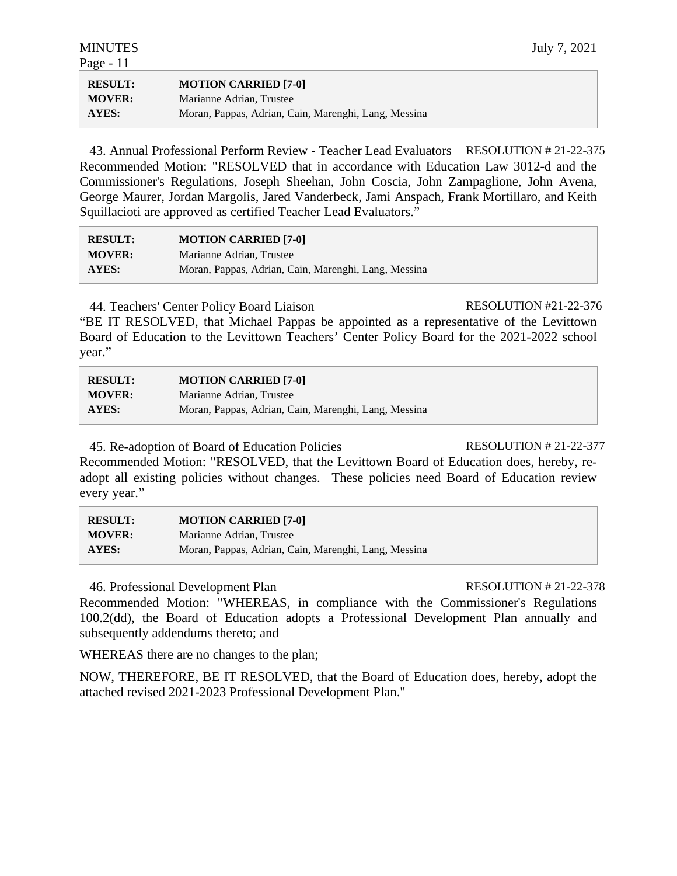| <b>RESULT:</b> | <b>MOTION CARRIED [7-0]</b>                          |
|----------------|------------------------------------------------------|
| <b>MOVER:</b>  | Marianne Adrian, Trustee                             |
| AYES:          | Moran, Pappas, Adrian, Cain, Marenghi, Lang, Messina |

43. Annual Professional Perform Review - Teacher Lead Evaluators RESOLUTION # 21-22-375 Recommended Motion: "RESOLVED that in accordance with Education Law 3012-d and the Commissioner's Regulations, Joseph Sheehan, John Coscia, John Zampaglione, John Avena, George Maurer, Jordan Margolis, Jared Vanderbeck, Jami Anspach, Frank Mortillaro, and Keith Squillacioti are approved as certified Teacher Lead Evaluators."

| <b>RESULT:</b> | <b>MOTION CARRIED [7-0]</b>                          |
|----------------|------------------------------------------------------|
| <b>MOVER:</b>  | Marianne Adrian, Trustee                             |
| <b>AYES:</b>   | Moran, Pappas, Adrian, Cain, Marenghi, Lang, Messina |

44. Teachers' Center Policy Board Liaison RESOLUTION #21-22-376

"BE IT RESOLVED, that Michael Pappas be appointed as a representative of the Levittown Board of Education to the Levittown Teachers' Center Policy Board for the 2021-2022 school year."

| <b>RESULT:</b> | <b>MOTION CARRIED [7-0]</b>                          |
|----------------|------------------------------------------------------|
| <b>MOVER:</b>  | Marianne Adrian, Trustee                             |
| AYES:          | Moran, Pappas, Adrian, Cain, Marenghi, Lang, Messina |

45. Re-adoption of Board of Education Policies RESOLUTION # 21-22-377

Recommended Motion: "RESOLVED, that the Levittown Board of Education does, hereby, readopt all existing policies without changes. These policies need Board of Education review every year."

| <b>RESULT:</b> | <b>MOTION CARRIED [7-0]</b>                          |
|----------------|------------------------------------------------------|
| <b>MOVER:</b>  | Marianne Adrian, Trustee                             |
| AYES:          | Moran, Pappas, Adrian, Cain, Marenghi, Lang, Messina |

46. Professional Development Plan RESOLUTION # 21-22-378

Recommended Motion: "WHEREAS, in compliance with the Commissioner's Regulations 100.2(dd), the Board of Education adopts a Professional Development Plan annually and subsequently addendums thereto; and

WHEREAS there are no changes to the plan;

NOW, THEREFORE, BE IT RESOLVED, that the Board of Education does, hereby, adopt the attached revised 2021-2023 Professional Development Plan."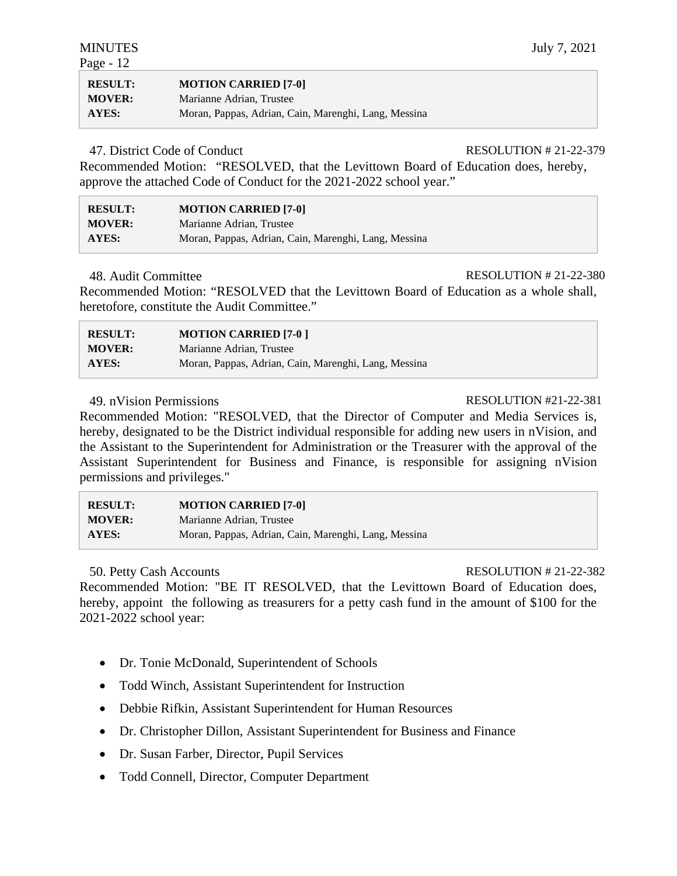| <b>RESULT:</b> | <b>MOTION CARRIED [7-0]</b>                          |
|----------------|------------------------------------------------------|
| <b>MOVER:</b>  | Marianne Adrian, Trustee                             |
| AYES:          | Moran, Pappas, Adrian, Cain, Marenghi, Lang, Messina |

47. District Code of Conduct RESOLUTION # 21-22-379

Recommended Motion: "RESOLVED, that the Levittown Board of Education does, hereby, approve the attached Code of Conduct for the 2021-2022 school year."

| <b>RESULT:</b> | <b>MOTION CARRIED [7-0]</b>                          |
|----------------|------------------------------------------------------|
| <b>MOVER:</b>  | Marianne Adrian, Trustee                             |
| <b>AYES:</b>   | Moran, Pappas, Adrian, Cain, Marenghi, Lang, Messina |

### 48. Audit Committee RESOLUTION # 21-22-380

Recommended Motion: "RESOLVED that the Levittown Board of Education as a whole shall, heretofore, constitute the Audit Committee."

| <b>RESULT:</b> | <b>MOTION CARRIED [7-0]</b>                          |
|----------------|------------------------------------------------------|
| <b>MOVER:</b>  | Marianne Adrian, Trustee                             |
| <b>AYES:</b>   | Moran, Pappas, Adrian, Cain, Marenghi, Lang, Messina |

# 49. nVision Permissions RESOLUTION #21-22-381

Recommended Motion: "RESOLVED, that the Director of Computer and Media Services is, hereby, designated to be the District individual responsible for adding new users in nVision, and the Assistant to the Superintendent for Administration or the Treasurer with the approval of the Assistant Superintendent for Business and Finance, is responsible for assigning nVision permissions and privileges."

| <b>RESULT:</b> | <b>MOTION CARRIED [7-0]</b>                          |
|----------------|------------------------------------------------------|
| <b>MOVER:</b>  | Marianne Adrian, Trustee                             |
| <b>AYES:</b>   | Moran, Pappas, Adrian, Cain, Marenghi, Lang, Messina |

### 50. Petty Cash Accounts RESOLUTION # 21-22-382

Recommended Motion: "BE IT RESOLVED, that the Levittown Board of Education does, hereby, appoint the following as treasurers for a petty cash fund in the amount of \$100 for the 2021-2022 school year:

- Dr. Tonie McDonald, Superintendent of Schools
- Todd Winch, Assistant Superintendent for Instruction
- Debbie Rifkin, Assistant Superintendent for Human Resources
- Dr. Christopher Dillon, Assistant Superintendent for Business and Finance
- Dr. Susan Farber, Director, Pupil Services
- Todd Connell, Director, Computer Department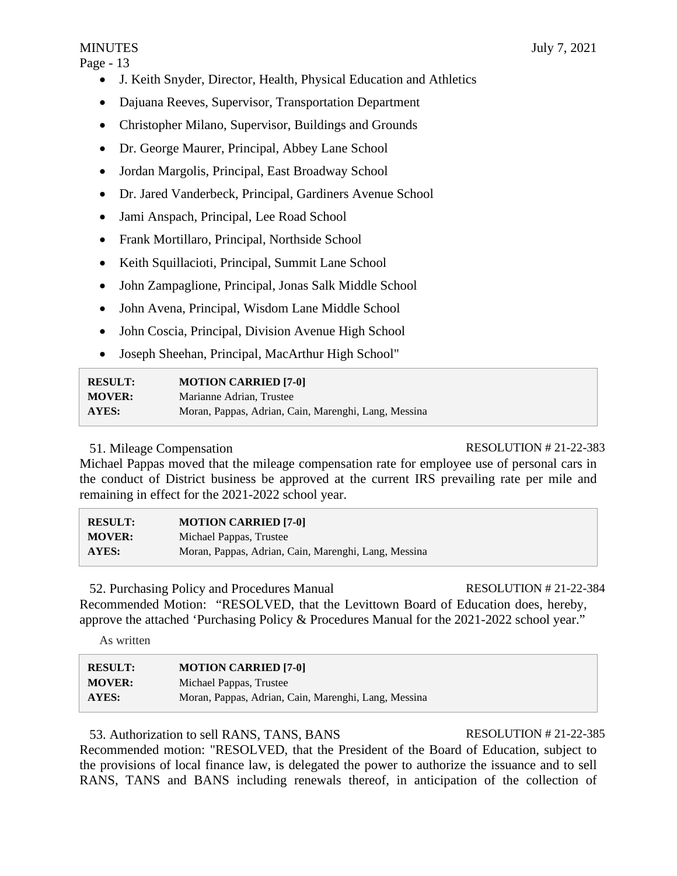- J. Keith Snyder, Director, Health, Physical Education and Athletics
- Dajuana Reeves, Supervisor, Transportation Department
- Christopher Milano, Supervisor, Buildings and Grounds
- Dr. George Maurer, Principal, Abbey Lane School
- Jordan Margolis, Principal, East Broadway School
- Dr. Jared Vanderbeck, Principal, Gardiners Avenue School
- Jami Anspach, Principal, Lee Road School
- Frank Mortillaro, Principal, Northside School
- Keith Squillacioti, Principal, Summit Lane School
- John Zampaglione, Principal, Jonas Salk Middle School
- John Avena, Principal, Wisdom Lane Middle School
- John Coscia, Principal, Division Avenue High School
- Joseph Sheehan, Principal, MacArthur High School"

| <b>RESULT:</b> | <b>MOTION CARRIED [7-0]</b>                          |
|----------------|------------------------------------------------------|
| <b>MOVER:</b>  | Marianne Adrian, Trustee                             |
| AYES:          | Moran, Pappas, Adrian, Cain, Marenghi, Lang, Messina |

# 51. Mileage Compensation RESOLUTION # 21-22-383

Michael Pappas moved that the mileage compensation rate for employee use of personal cars in the conduct of District business be approved at the current IRS prevailing rate per mile and remaining in effect for the 2021-2022 school year.

| <b>RESULT:</b> | <b>MOTION CARRIED [7-0]</b>                          |
|----------------|------------------------------------------------------|
| <b>MOVER:</b>  | Michael Pappas, Trustee                              |
| <b>AYES:</b>   | Moran, Pappas, Adrian, Cain, Marenghi, Lang, Messina |

52. Purchasing Policy and Procedures Manual RESOLUTION # 21-22-384 Recommended Motion: "RESOLVED, that the Levittown Board of Education does, hereby, approve the attached 'Purchasing Policy & Procedures Manual for the 2021-2022 school year."

As written

| <b>RESULT:</b> | <b>MOTION CARRIED [7-0]</b>                          |
|----------------|------------------------------------------------------|
| <b>MOVER:</b>  | Michael Pappas, Trustee                              |
| AYES:          | Moran, Pappas, Adrian, Cain, Marenghi, Lang, Messina |

53. Authorization to sell RANS, TANS, BANS RESOLUTION # 21-22-385

Recommended motion: "RESOLVED, that the President of the Board of Education, subject to the provisions of local finance law, is delegated the power to authorize the issuance and to sell RANS, TANS and BANS including renewals thereof, in anticipation of the collection of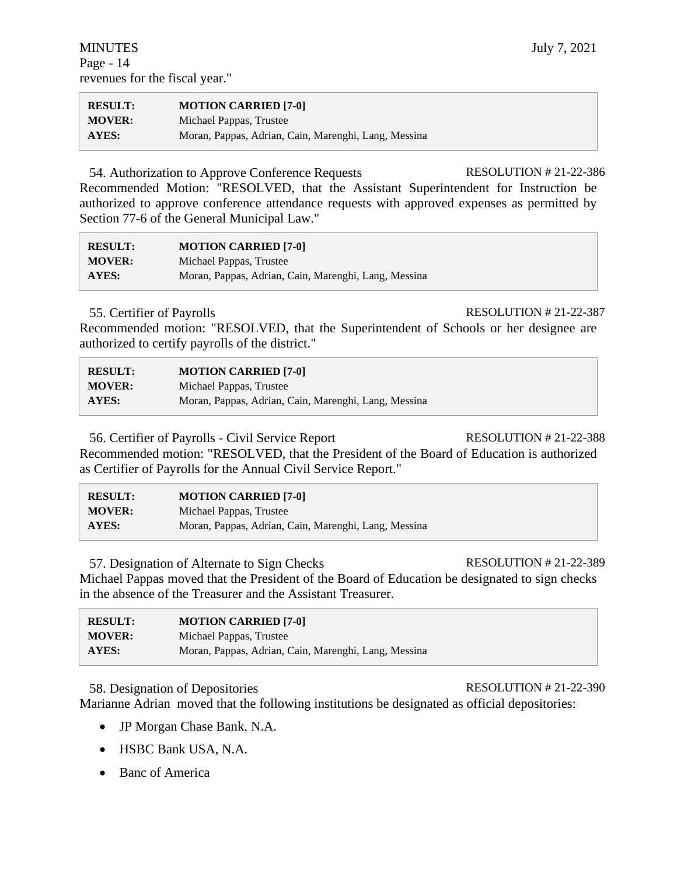| <b>RESULT:</b> | <b>MOTION CARRIED [7-0]</b>                          |
|----------------|------------------------------------------------------|
| <b>MOVER:</b>  | Michael Pappas, Trustee                              |
| <b>AYES:</b>   | Moran, Pappas, Adrian, Cain, Marenghi, Lang, Messina |

54. Authorization to Approve Conference Requests RESOLUTION # 21-22-386 Recommended Motion: "RESOLVED, that the Assistant Superintendent for Instruction be authorized to approve conference attendance requests with approved expenses as permitted by Section 77-6 of the General Municipal Law."

| <b>RESULT:</b> | <b>MOTION CARRIED [7-0]</b>                          |
|----------------|------------------------------------------------------|
| <b>MOVER:</b>  | Michael Pappas, Trustee                              |
| <b>AYES:</b>   | Moran, Pappas, Adrian, Cain, Marenghi, Lang, Messina |

### 55. Certifier of Payrolls RESOLUTION # 21-22-387

Recommended motion: "RESOLVED, that the Superintendent of Schools or her designee are authorized to certify payrolls of the district."

| <b>RESULT:</b> | <b>MOTION CARRIED [7-0]</b>                          |
|----------------|------------------------------------------------------|
| <b>MOVER:</b>  | Michael Pappas, Trustee                              |
| <b>AYES:</b>   | Moran, Pappas, Adrian, Cain, Marenghi, Lang, Messina |

56. Certifier of Payrolls - Civil Service Report RESOLUTION # 21-22-388 Recommended motion: "RESOLVED, that the President of the Board of Education is authorized as Certifier of Payrolls for the Annual Civil Service Report."

| <b>RESULT:</b> | <b>MOTION CARRIED [7-0]</b>                          |
|----------------|------------------------------------------------------|
| <b>MOVER:</b>  | Michael Pappas, Trustee                              |
| AYES:          | Moran, Pappas, Adrian, Cain, Marenghi, Lang, Messina |

57. Designation of Alternate to Sign Checks RESOLUTION # 21-22-389 Michael Pappas moved that the President of the Board of Education be designated to sign checks in the absence of the Treasurer and the Assistant Treasurer.

| <b>RESULT:</b> | <b>MOTION CARRIED [7-0]</b>                          |
|----------------|------------------------------------------------------|
| <b>MOVER:</b>  | Michael Pappas, Trustee                              |
| AYES:          | Moran, Pappas, Adrian, Cain, Marenghi, Lang, Messina |

58. Designation of Depositories RESOLUTION # 21-22-390

Marianne Adrian moved that the following institutions be designated as official depositories:

- JP Morgan Chase Bank, N.A.
- HSBC Bank USA, N.A.
- Banc of America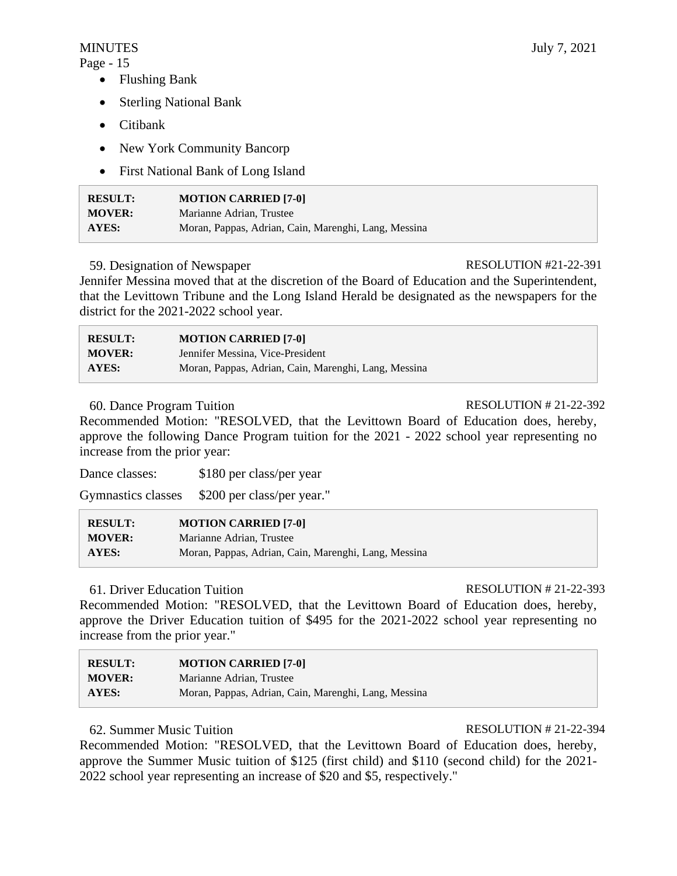- Flushing Bank
- Sterling National Bank
- Citibank
- New York Community Bancorp
- First National Bank of Long Island

| <b>RESULT:</b> | <b>MOTION CARRIED [7-0]</b>                          |
|----------------|------------------------------------------------------|
| <b>MOVER:</b>  | Marianne Adrian, Trustee                             |
| AYES:          | Moran, Pappas, Adrian, Cain, Marenghi, Lang, Messina |

### 59. Designation of Newspaper RESOLUTION #21-22-391

Jennifer Messina moved that at the discretion of the Board of Education and the Superintendent, that the Levittown Tribune and the Long Island Herald be designated as the newspapers for the district for the 2021-2022 school year.

| <b>RESULT:</b> | <b>MOTION CARRIED [7-0]</b>                          |
|----------------|------------------------------------------------------|
| <b>MOVER:</b>  | Jennifer Messina, Vice-President                     |
| <b>AYES:</b>   | Moran, Pappas, Adrian, Cain, Marenghi, Lang, Messina |

# 60. Dance Program Tuition RESOLUTION # 21-22-392

Recommended Motion: "RESOLVED, that the Levittown Board of Education does, hereby, approve the following Dance Program tuition for the 2021 - 2022 school year representing no increase from the prior year:

Dance classes: \$180 per class/per year

Gymnastics classes \$200 per class/per year."

| <b>RESULT:</b> | <b>MOTION CARRIED [7-0]</b>                          |
|----------------|------------------------------------------------------|
| <b>MOVER:</b>  | Marianne Adrian, Trustee                             |
| AYES:          | Moran, Pappas, Adrian, Cain, Marenghi, Lang, Messina |

# 61. Driver Education Tuition RESOLUTION # 21-22-393

Recommended Motion: "RESOLVED, that the Levittown Board of Education does, hereby, approve the Driver Education tuition of \$495 for the 2021-2022 school year representing no increase from the prior year."

| <b>RESULT:</b> | <b>MOTION CARRIED [7-0]</b>                          |
|----------------|------------------------------------------------------|
| <b>MOVER:</b>  | Marianne Adrian, Trustee                             |
| <b>AYES:</b>   | Moran, Pappas, Adrian, Cain, Marenghi, Lang, Messina |

# 62. Summer Music Tuition RESOLUTION # 21-22-394

Recommended Motion: "RESOLVED, that the Levittown Board of Education does, hereby, approve the Summer Music tuition of \$125 (first child) and \$110 (second child) for the 2021- 2022 school year representing an increase of \$20 and \$5, respectively."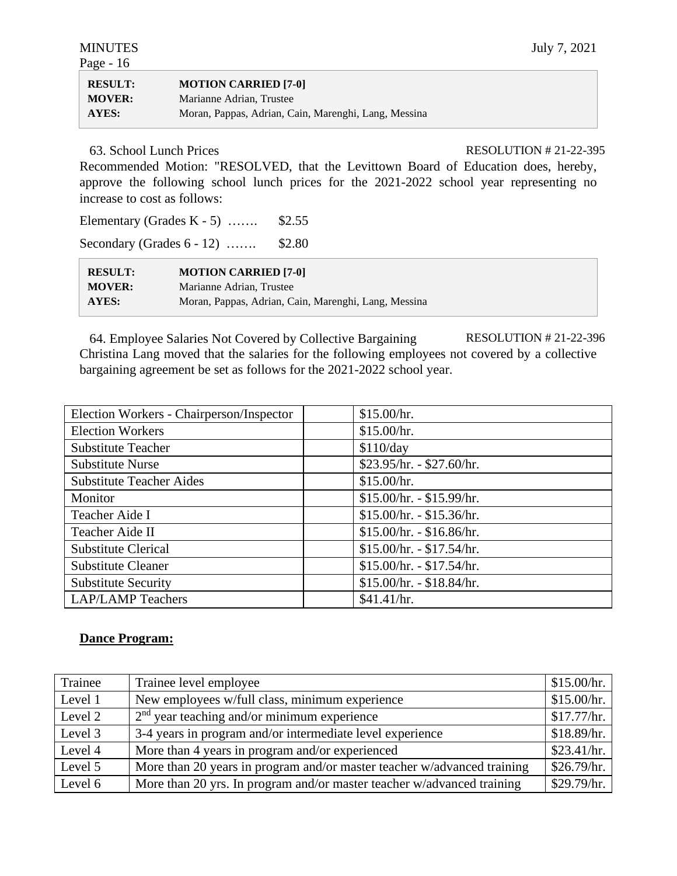| <b>RESULT:</b> | <b>MOTION CARRIED [7-0]</b>                          |
|----------------|------------------------------------------------------|
| <b>MOVER:</b>  | Marianne Adrian, Trustee                             |
| <b>AYES:</b>   | Moran, Pappas, Adrian, Cain, Marenghi, Lang, Messina |

63. School Lunch Prices RESOLUTION # 21-22-395

Recommended Motion: "RESOLVED, that the Levittown Board of Education does, hereby, approve the following school lunch prices for the 2021-2022 school year representing no increase to cost as follows:

Elementary (Grades K - 5) ……. \$2.55

Secondary (Grades 6 - 12) ……. \$2.80

| <b>RESULT:</b> | <b>MOTION CARRIED [7-0]</b>                          |
|----------------|------------------------------------------------------|
| <b>MOVER:</b>  | Marianne Adrian, Trustee                             |
| AYES:          | Moran, Pappas, Adrian, Cain, Marenghi, Lang, Messina |

64. Employee Salaries Not Covered by Collective Bargaining RESOLUTION # 21-22-396 Christina Lang moved that the salaries for the following employees not covered by a collective bargaining agreement be set as follows for the 2021-2022 school year.

| Election Workers - Chairperson/Inspector | \$15.00/hr.               |
|------------------------------------------|---------------------------|
| <b>Election Workers</b>                  | \$15.00/hr.               |
| <b>Substitute Teacher</b>                | \$110/day                 |
| <b>Substitute Nurse</b>                  | $$23.95/hr. - $27.60/hr.$ |
| <b>Substitute Teacher Aides</b>          | \$15.00/hr.               |
| Monitor                                  | $$15.00/hr. - $15.99/hr.$ |
| Teacher Aide I                           | $$15.00/hr. - $15.36/hr.$ |
| Teacher Aide II                          | $$15.00/hr. - $16.86/hr.$ |
| <b>Substitute Clerical</b>               | \$15.00/hr. - \$17.54/hr. |
| <b>Substitute Cleaner</b>                | $$15.00/hr. - $17.54/hr.$ |
| <b>Substitute Security</b>               | $$15.00/hr. - $18.84/hr.$ |
| <b>LAP/LAMP Teachers</b>                 | \$41.41/hr.               |

# **Dance Program:**

| Trainee | Trainee level employee                                                  | \$15.00/hr. |
|---------|-------------------------------------------------------------------------|-------------|
| Level 1 | New employees w/full class, minimum experience                          | \$15.00/hr. |
| Level 2 | $2nd$ year teaching and/or minimum experience                           | \$17.77/hr. |
| Level 3 | 3-4 years in program and/or intermediate level experience               | \$18.89/hr. |
| Level 4 | More than 4 years in program and/or experienced                         | \$23.41/hr. |
| Level 5 | More than 20 years in program and/or master teacher w/advanced training | \$26.79/hr. |
| Level 6 | More than 20 yrs. In program and/or master teacher w/advanced training  | \$29.79/hr. |